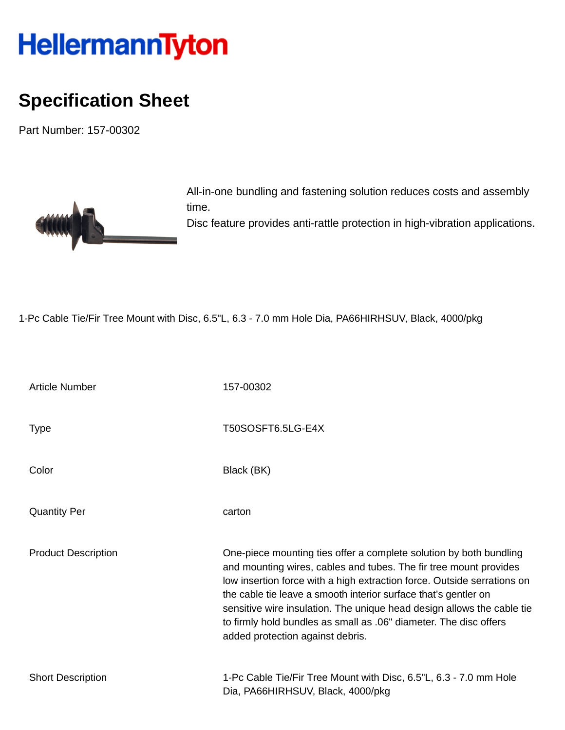## HellermannTyton

## **Specification Sheet**

Part Number: 157-00302



All-in-one bundling and fastening solution reduces costs and assembly time.

Disc feature provides anti-rattle protection in high-vibration applications.

1-Pc Cable Tie/Fir Tree Mount with Disc, 6.5"L, 6.3 - 7.0 mm Hole Dia, PA66HIRHSUV, Black, 4000/pkg

| <b>Article Number</b>      | 157-00302                                                                                                                                                                                                                                                                                                                                                                                                                                                                |
|----------------------------|--------------------------------------------------------------------------------------------------------------------------------------------------------------------------------------------------------------------------------------------------------------------------------------------------------------------------------------------------------------------------------------------------------------------------------------------------------------------------|
| <b>Type</b>                | T50SOSFT6.5LG-E4X                                                                                                                                                                                                                                                                                                                                                                                                                                                        |
| Color                      | Black (BK)                                                                                                                                                                                                                                                                                                                                                                                                                                                               |
| <b>Quantity Per</b>        | carton                                                                                                                                                                                                                                                                                                                                                                                                                                                                   |
| <b>Product Description</b> | One-piece mounting ties offer a complete solution by both bundling<br>and mounting wires, cables and tubes. The fir tree mount provides<br>low insertion force with a high extraction force. Outside serrations on<br>the cable tie leave a smooth interior surface that's gentler on<br>sensitive wire insulation. The unique head design allows the cable tie<br>to firmly hold bundles as small as .06" diameter. The disc offers<br>added protection against debris. |
| <b>Short Description</b>   | 1-Pc Cable Tie/Fir Tree Mount with Disc, 6.5"L, 6.3 - 7.0 mm Hole<br>Dia, PA66HIRHSUV, Black, 4000/pkg                                                                                                                                                                                                                                                                                                                                                                   |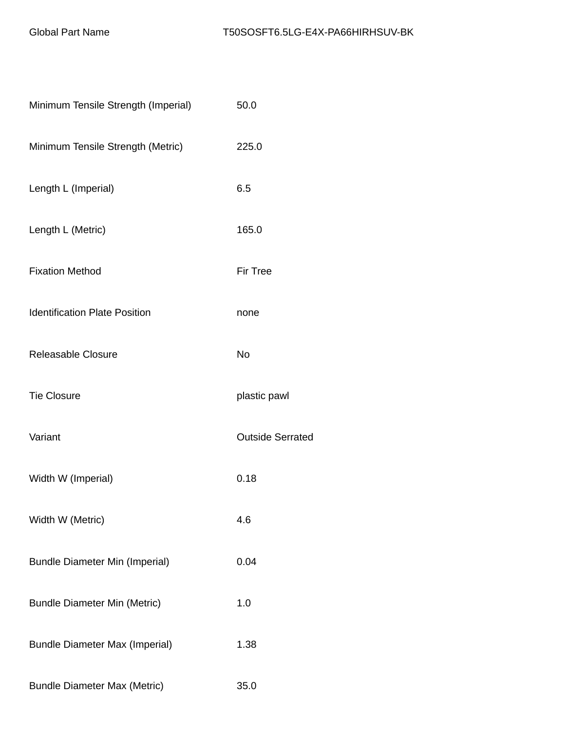| Minimum Tensile Strength (Imperial)   | 50.0                    |
|---------------------------------------|-------------------------|
| Minimum Tensile Strength (Metric)     | 225.0                   |
| Length L (Imperial)                   | 6.5                     |
| Length L (Metric)                     | 165.0                   |
| <b>Fixation Method</b>                | <b>Fir Tree</b>         |
| <b>Identification Plate Position</b>  | none                    |
| Releasable Closure                    | No                      |
| <b>Tie Closure</b>                    | plastic pawl            |
| Variant                               | <b>Outside Serrated</b> |
| Width W (Imperial)                    | 0.18                    |
| Width W (Metric)                      | 4.6                     |
| <b>Bundle Diameter Min (Imperial)</b> | 0.04                    |
| <b>Bundle Diameter Min (Metric)</b>   | 1.0                     |
| <b>Bundle Diameter Max (Imperial)</b> | 1.38                    |
| <b>Bundle Diameter Max (Metric)</b>   | 35.0                    |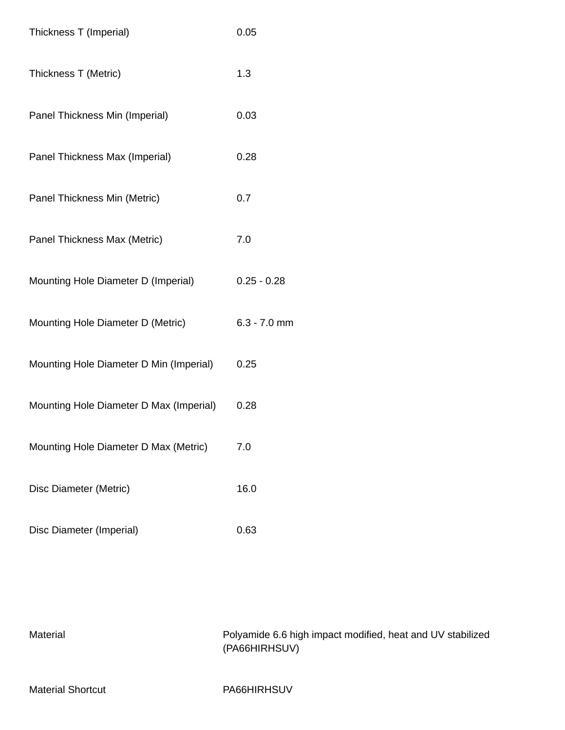| Thickness T (Imperial)                  | 0.05           |
|-----------------------------------------|----------------|
| Thickness T (Metric)                    | 1.3            |
| Panel Thickness Min (Imperial)          | 0.03           |
| Panel Thickness Max (Imperial)          | 0.28           |
| Panel Thickness Min (Metric)            | 0.7            |
| Panel Thickness Max (Metric)            | 7.0            |
| Mounting Hole Diameter D (Imperial)     | $0.25 - 0.28$  |
| Mounting Hole Diameter D (Metric)       | $6.3 - 7.0$ mm |
| Mounting Hole Diameter D Min (Imperial) | 0.25           |
| Mounting Hole Diameter D Max (Imperial) | 0.28           |
| Mounting Hole Diameter D Max (Metric)   | 7.0            |
| Disc Diameter (Metric)                  | 16.0           |
| Disc Diameter (Imperial)                | 0.63           |

Material Polyamide 6.6 high impact modified, heat and UV stabilized (PA66HIRHSUV)